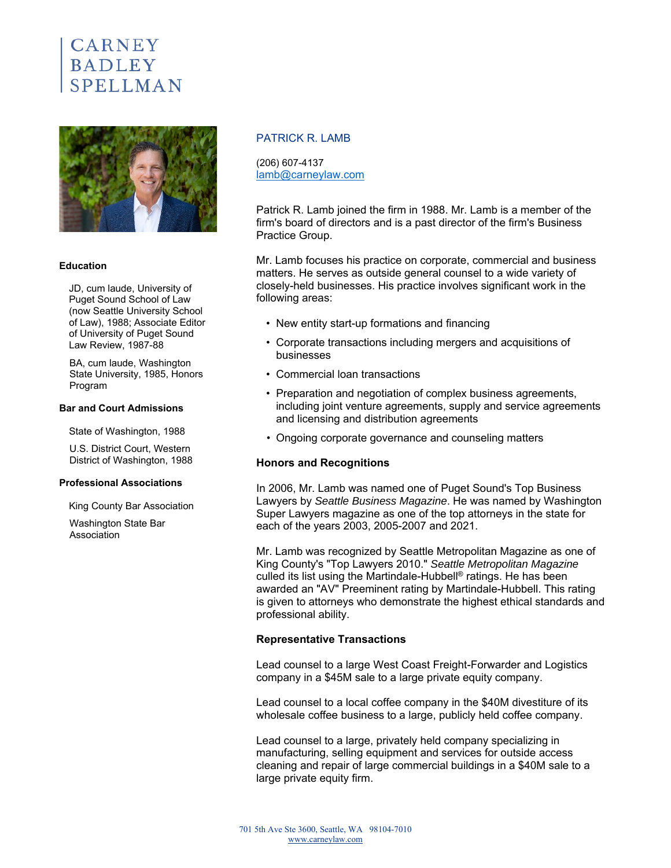# **CARNEY BADLEY** SPELLMAN



#### **Education**

JD, cum laude, University of Puget Sound School of Law (now Seattle University School of Law), 1988; Associate Editor of University of Puget Sound Law Review, 1987-88

BA, cum laude, Washington State University, 1985, Honors Program

#### **Bar and Court Admissions**

State of Washington, 1988

U.S. District Court, Western District of Washington, 1988

#### **Professional Associations**

King County Bar Association

Washington State Bar Association

## PATRICK R. LAMB

(206) 607-4137 lamb@carneylaw.com

Patrick R. Lamb joined the firm in 1988. Mr. Lamb is a member of the firm's board of directors and is a past director of the firm's Business Practice Group.

Mr. Lamb focuses his practice on corporate, commercial and business matters. He serves as outside general counsel to a wide variety of closely-held businesses. His practice involves significant work in the following areas:

- New entity start-up formations and financing
- Corporate transactions including mergers and acquisitions of businesses
- Commercial loan transactions
- Preparation and negotiation of complex business agreements, including joint venture agreements, supply and service agreements and licensing and distribution agreements
- Ongoing corporate governance and counseling matters

### **Honors and Recognitions**

In 2006, Mr. Lamb was named one of Puget Sound's Top Business Lawyers by *Seattle Business Magazine*. He was named by Washington Super Lawyers magazine as one of the top attorneys in the state for each of the years 2003, 2005-2007 and 2021.

Mr. Lamb was recognized by Seattle Metropolitan Magazine as one of King County's "Top Lawyers 2010." *Seattle Metropolitan Magazine* culled its list using the Martindale-Hubbell® ratings. He has been awarded an "AV" Preeminent rating by Martindale-Hubbell. This rating is given to attorneys who demonstrate the highest ethical standards and professional ability.

## **Representative Transactions**

Lead counsel to a large West Coast Freight-Forwarder and Logistics company in a \$45M sale to a large private equity company.

Lead counsel to a local coffee company in the \$40M divestiture of its wholesale coffee business to a large, publicly held coffee company.

Lead counsel to a large, privately held company specializing in manufacturing, selling equipment and services for outside access cleaning and repair of large commercial buildings in a \$40M sale to a large private equity firm.